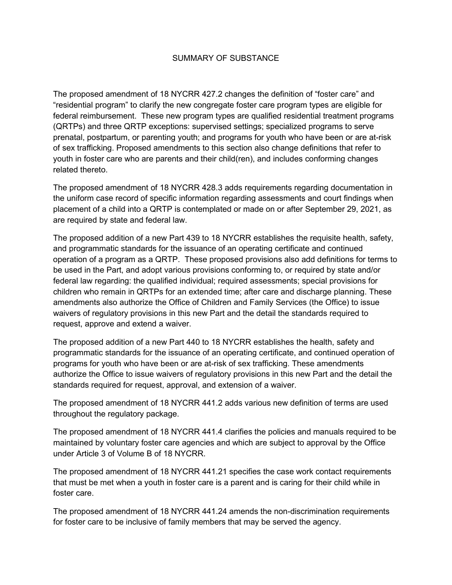## SUMMARY OF SUBSTANCE

The proposed amendment of 18 NYCRR 427.2 changes the definition of "foster care" and "residential program" to clarify the new congregate foster care program types are eligible for federal reimbursement. These new program types are qualified residential treatment programs (QRTPs) and three QRTP exceptions: supervised settings; specialized programs to serve prenatal, postpartum, or parenting youth; and programs for youth who have been or are at-risk of sex trafficking. Proposed amendments to this section also change definitions that refer to youth in foster care who are parents and their child(ren), and includes conforming changes related thereto.

The proposed amendment of 18 NYCRR 428.3 adds requirements regarding documentation in the uniform case record of specific information regarding assessments and court findings when placement of a child into a QRTP is contemplated or made on or after September 29, 2021, as are required by state and federal law.

The proposed addition of a new Part 439 to 18 NYCRR establishes the requisite health, safety, and programmatic standards for the issuance of an operating certificate and continued operation of a program as a QRTP. These proposed provisions also add definitions for terms to be used in the Part, and adopt various provisions conforming to, or required by state and/or federal law regarding: the qualified individual; required assessments; special provisions for children who remain in QRTPs for an extended time; after care and discharge planning. These amendments also authorize the Office of Children and Family Services (the Office) to issue waivers of regulatory provisions in this new Part and the detail the standards required to request, approve and extend a waiver.

The proposed addition of a new Part 440 to 18 NYCRR establishes the health, safety and programmatic standards for the issuance of an operating certificate, and continued operation of programs for youth who have been or are at-risk of sex trafficking. These amendments authorize the Office to issue waivers of regulatory provisions in this new Part and the detail the standards required for request, approval, and extension of a waiver.

The proposed amendment of 18 NYCRR 441.2 adds various new definition of terms are used throughout the regulatory package.

The proposed amendment of 18 NYCRR 441.4 clarifies the policies and manuals required to be maintained by voluntary foster care agencies and which are subject to approval by the Office under Article 3 of Volume B of 18 NYCRR.

The proposed amendment of 18 NYCRR 441.21 specifies the case work contact requirements that must be met when a youth in foster care is a parent and is caring for their child while in foster care.

The proposed amendment of 18 NYCRR 441.24 amends the non-discrimination requirements for foster care to be inclusive of family members that may be served the agency.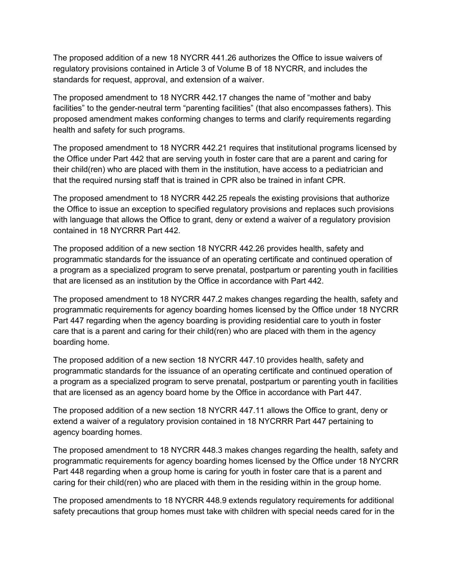The proposed addition of a new 18 NYCRR 441.26 authorizes the Office to issue waivers of regulatory provisions contained in Article 3 of Volume B of 18 NYCRR, and includes the standards for request, approval, and extension of a waiver.

The proposed amendment to 18 NYCRR 442.17 changes the name of "mother and baby facilities" to the gender-neutral term "parenting facilities" (that also encompasses fathers). This proposed amendment makes conforming changes to terms and clarify requirements regarding health and safety for such programs.

The proposed amendment to 18 NYCRR 442.21 requires that institutional programs licensed by the Office under Part 442 that are serving youth in foster care that are a parent and caring for their child(ren) who are placed with them in the institution, have access to a pediatrician and that the required nursing staff that is trained in CPR also be trained in infant CPR.

The proposed amendment to 18 NYCRR 442.25 repeals the existing provisions that authorize the Office to issue an exception to specified regulatory provisions and replaces such provisions with language that allows the Office to grant, deny or extend a waiver of a regulatory provision contained in 18 NYCRRR Part 442.

The proposed addition of a new section 18 NYCRR 442.26 provides health, safety and programmatic standards for the issuance of an operating certificate and continued operation of a program as a specialized program to serve prenatal, postpartum or parenting youth in facilities that are licensed as an institution by the Office in accordance with Part 442.

The proposed amendment to 18 NYCRR 447.2 makes changes regarding the health, safety and programmatic requirements for agency boarding homes licensed by the Office under 18 NYCRR Part 447 regarding when the agency boarding is providing residential care to youth in foster care that is a parent and caring for their child(ren) who are placed with them in the agency boarding home.

The proposed addition of a new section 18 NYCRR 447.10 provides health, safety and programmatic standards for the issuance of an operating certificate and continued operation of a program as a specialized program to serve prenatal, postpartum or parenting youth in facilities that are licensed as an agency board home by the Office in accordance with Part 447.

The proposed addition of a new section 18 NYCRR 447.11 allows the Office to grant, deny or extend a waiver of a regulatory provision contained in 18 NYCRRR Part 447 pertaining to agency boarding homes.

The proposed amendment to 18 NYCRR 448.3 makes changes regarding the health, safety and programmatic requirements for agency boarding homes licensed by the Office under 18 NYCRR Part 448 regarding when a group home is caring for youth in foster care that is a parent and caring for their child(ren) who are placed with them in the residing within in the group home.

The proposed amendments to 18 NYCRR 448.9 extends regulatory requirements for additional safety precautions that group homes must take with children with special needs cared for in the